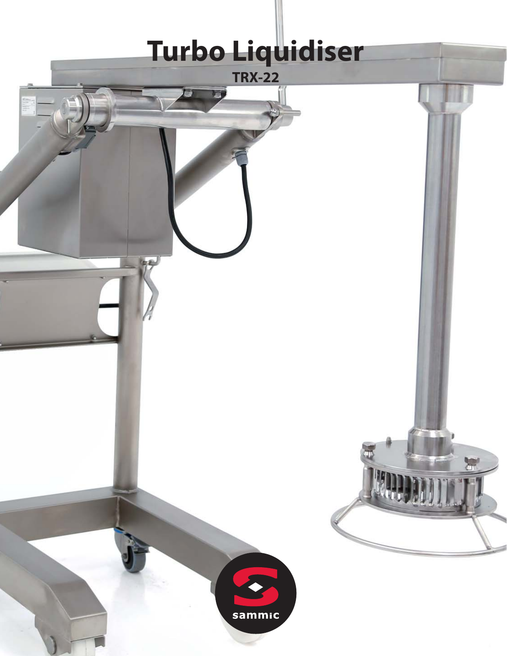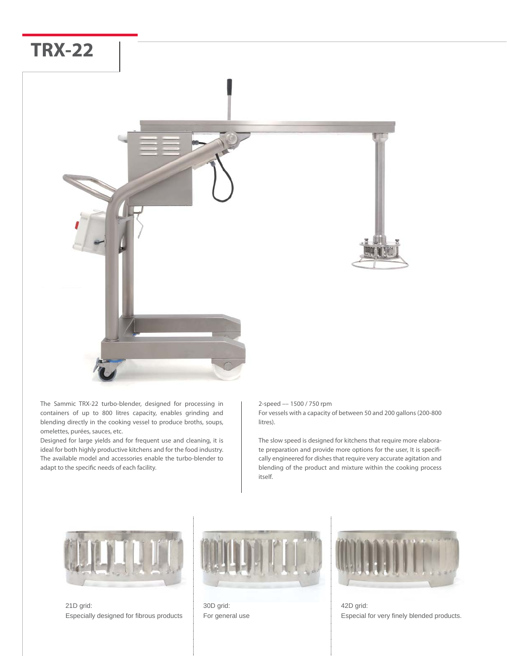

The Sammic TRX-22 turbo-blender, designed for processing in containers of up to 800 litres capacity, enables grinding and blending directly in the cooking vessel to produce broths, soups, omelettes, purées, sauces, etc.

Designed for large yields and for frequent use and cleaning, it is ideal for both highly productive kitchens and for the food industry. The available model and accessories enable the turbo-blender to adapt to the specific needs of each facility.

#### 2-speed –– 1500 / 750 rpm For vessels with a capacity of between 50 and 200 gallons (200-800 litres).

The slow speed is designed for kitchens that require more elaborate preparation and provide more options for the user, It is specifically engineered for dishes that require very accurate agitation and blending of the product and mixture within the cooking process itself.



21D grid: Especially designed for fibrous products



30D grid: For general use



42D grid: Especial for very finely blended products.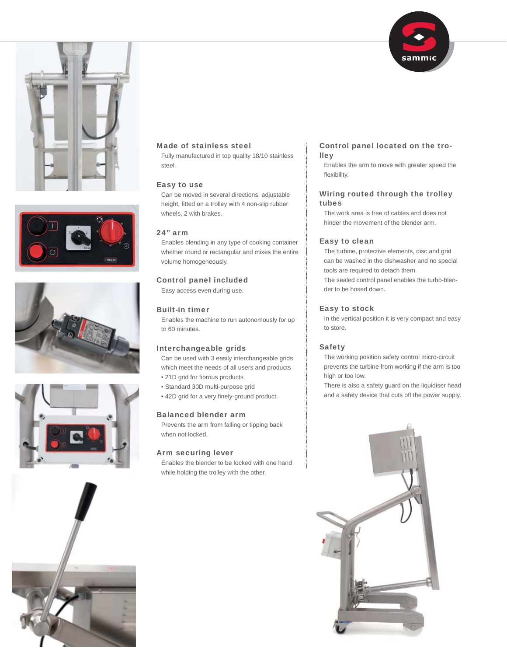











# Made of stainless steel

Fully manufactured in top quality 18/10 stainless steel.

# Easy to use

Can be moved in several directions, adjustable height, fitted on a trolley with 4 non-slip rubber wheels, 2 with brakes.

# 24" arm

Enables blending in any type of cooking container whether round or rectangular and mixes the entire volume homogeneously.

## Control panel included

Easy access even during use.

# Built-in timer

Enables the machine to run autonomously for up to 60 minutes.

## Interchangeable grids

Can be used with 3 easily interchangeable grids which meet the needs of all users and products

- 21D grid for fibrous products
- Standard 30D multi-purpose grid
- 42D grid for a very finely-ground product.

#### Balanced blender arm

Prevents the arm from falling or tipping back when not locked.

#### Arm securing lever

Enables the blender to be locked with one hand while holding the trolley with the other.

## Control panel located on the trolley

Enables the arm to move with greater speed the flexibility.

# Wiring routed through the trolley tubes

The work area is free of cables and does not hinder the movement of the blender arm.

## Easy to clean

The turbine, protective elements, disc and grid can be washed in the dishwasher and no special tools are required to detach them. The sealed control panel enables the turbo-blender to be hosed down.

## Easy to stock

In the vertical position it is very compact and easy to store.

## Safety

The working position safety control micro-circuit prevents the turbine from working if the arm is too high or too low.

There is also a safety guard on the liquidiser head and a safety device that cuts off the power supply.